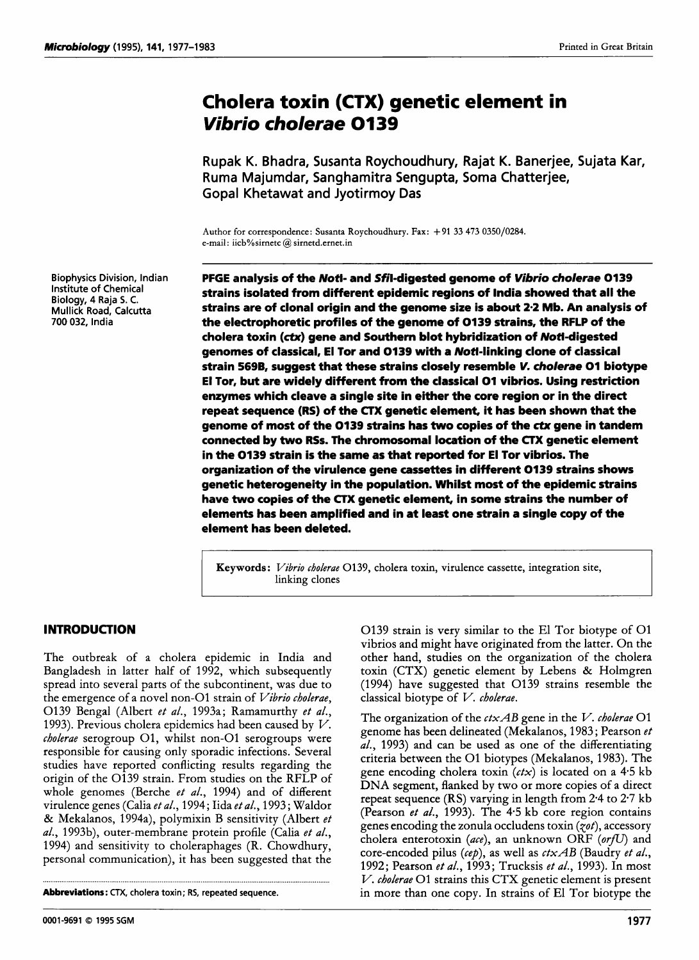Biophysics Division, Indian Institute of Chemical Biology, 4 Raja **5. C.**  Mullick Road, Calcutta 700 **032,** India

# **Cholera toxin (CTX) genetic element in**  *Vibrio cholerae* **01 39**

Rupak K. Bhadra, Susanta Roychoudhury, Rajat K. Banerjee, Sujata Kar, Ruma Majumdar, Sanghamitra Sengupta, Soma Chatterjee, GopaI Khetawat and Jyotirmoy Das

Author for correspondence: Susanta Roychoudhury. Fax: + 91 **33 473 0350/0284.**  e-mail: iicb%sirnetc@sirnetd.ernet.in

**PFGE** analysis of the *Notl-* and Sfil-digested genome of *Virbrio* cholerae **0139**  strains isolated from different epidemic regions of India showed that all the strains are of clonal origin and the genome size is about **2.2** Mb. An analysis of the electrophoretic profiles of the genome of **0139** strains, the **RFLP** of the cholera toxin (ctx) gene and Southern blot hybridization of Noti-digested genomes of classical, El Tor and **0139** with a Noti-linking clone of classical strain **5698,** suggest that these strains closely resemble *V.* cholerae **01** biotype **El** Tor, but are widely different from the classical **01** vibrios. Using restriction enzymes which cleave a single site in either the core region or in the direct repeat sequence **(RS)** of the **CTX** genetic element, it has been shown that the genome of most of the **0139** strains has **two** copies of the **ctx** gene in tandem connected by **two RSs.** The chromosomal location of the CTX genetic element in the **0139** strain is the same as that reported for El Tor vibrios. The organization of the virulence gene cassettes in different **0139** strains shows genetic heterogeneity in the population. Whilst most of the epidemic strains have **two** copies of the **CTX** genetic element, in some strains the number of elements has been amplified and in at least one strain a single copy of the element has been deleted.

**Keywords** : *Vibriu chulerae* 01 **39,** cholera toxin, virulence cassette, integration site, linking clones

the emergence of a novel non-O1 strain of *Vibrio cholerae*, 0139 Beigal (Albert *et al.,* 1993a; Ramamurthy *et al.,*  1993). Previous cholera epidemics had been caused by *V. cbolerae* serogroup <sup>01</sup>, whilst non-01 serogroups were responsible for causing only sporadic infections. Several studies have reported conflicting results regarding the origin of the 0139 strain. From studies on the RFLP of whole genomes (Berche *et al.,* 1994) and of different virulence genes (Calia *et al.,* <sup>1994</sup>; Iida *et al.,* <sup>1993</sup>; Waldor & Mekalanos, 1994a), polymixin B sensitivity (Albert *et al.,* 1993b), outer-membrane protein profile (Calia *et al.,*  1994) and sensitivity to choleraphages (R. Chowdhury, personal communication), it has been suggested that the

Abbreviations: CTX, cholera **toxin;** RS, repeated sequence.

..........................................................................................................................................................

**INTRODUCTION 10139 O139** strain is very similar to the El Tor biotype of O1 vibrios and might have originated from the latter. On the The outbreak of a cholera epidemic in India and other hand, studies on the organization of the cholera Bangladesh in latter half of 1992, which subsequently toxin (CTX) genetic element by Lebens & Holmgren spread into several parts of the subcontinent, was due to (1994) have suggested that 0139 strains resemble the classical biotype of  $V$ . cholerae.

> The organization of the *ctxAB* gene in the I/. *cbolerae* 01 genome has been delineated (Mekalanos, 1983 ; Pearson *et al.,* 1993) and can be used as one of the differentiating criteria between the 01 biotypes (Mekalanos, 1983). The gene encoding cholera toxin *(ctx)* is located on a **4-5** kb **DNA** segment, flanked by two or more copies of a direct repeat sequence (RS) varying in length from 2.4 to 2.7 kb (Pearson *et al.,* 1993). The 4.5 kb core region contains genes encoding the zonula occludens toxin *(pt),* accessory cholera enterotoxin (ace), an unknown ORF (orfU) and core-encoded pilus *(cep),* as well as *ctxAB* (Baudry *et al.,*  1992; Pearson *et al.,* 1993; Trucksis *et al.,* 1993). In most *V. cholerae* 01 strains this CTX genetic element is present in more than one copy. In strains of El Tor biotype the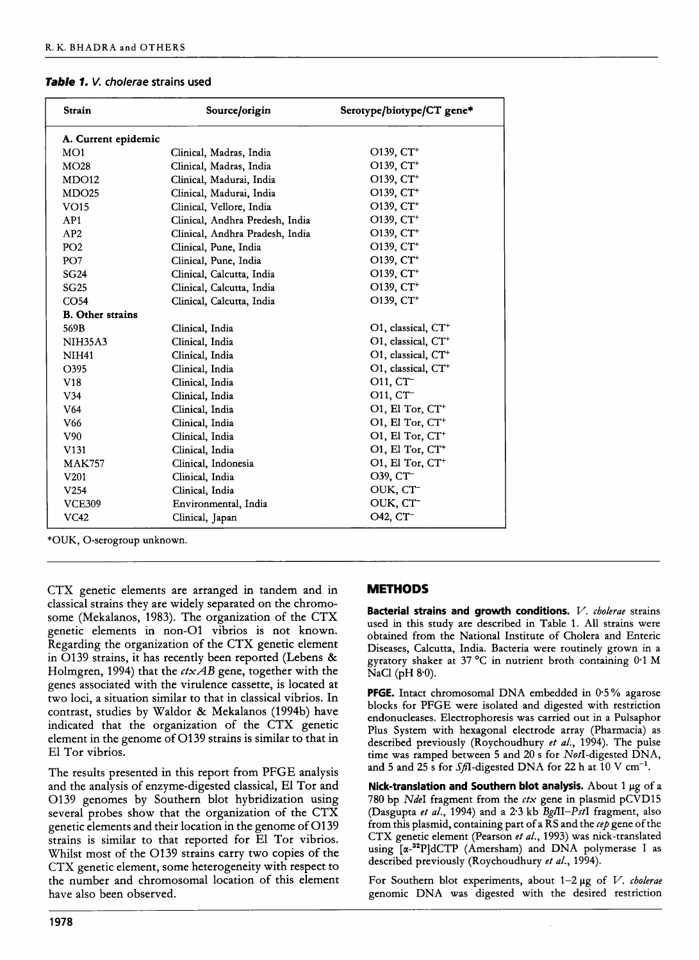| <b>Strain</b>           | Source/origin                   | Serotype/biotype/CT gene*      |
|-------------------------|---------------------------------|--------------------------------|
| A. Current epidemic     |                                 |                                |
| MO1                     | Clinical, Madras, India         | $O139, CT+$                    |
| MO28                    | Clinical, Madras, India         | O139, CT <sup>+</sup>          |
| MDO12                   | Clinical, Madurai, India        | O139, CT <sup>+</sup>          |
| MDO <sub>25</sub>       | Clinical, Madurai, India        | O139, CT <sup>+</sup>          |
| VO15                    | Clinical, Vellore, India        | O139, CT <sup>+</sup>          |
| AP1                     | Clinical, Andhra Predesh, India | $O139, CT+$                    |
| AP2                     | Clinical, Andhra Pradesh, India | O139, CT <sup>+</sup>          |
| PO <sub>2</sub>         | Clinical, Pune, India           | $O139, CT+$                    |
| PO <sub>7</sub>         | Clinical, Pune, India           | O139, CT <sup>+</sup>          |
| <b>SG24</b>             | Clinical, Calcutta, India       | O139, CT <sup>+</sup>          |
| <b>SG25</b>             | Clinical, Calcutta, India       | O139, CT <sup>+</sup>          |
| CO <sub>54</sub>        | Clinical, Calcutta, India       | O139, CT <sup>+</sup>          |
| <b>B.</b> Other strains |                                 |                                |
| 569B                    | Clinical, India                 | O1, classical, CT <sup>+</sup> |
| <b>NIH35A3</b>          | Clinical, India                 | O1, classical, CT <sup>+</sup> |
| <b>NIH41</b>            | Clinical, India                 | O1, classical, CT <sup>+</sup> |
| O395                    | Clinical, India                 | O1, classical, CT <sup>+</sup> |
| V18                     | Clinical, India                 | O11, CT <sup>-</sup>           |
| V <sub>34</sub>         | Clinical, India                 | O11, CT-                       |
| V64                     | Clinical, India                 | O1, El Tor, CT <sup>+</sup>    |
| V <sub>66</sub>         | Clinical, India                 | O1, El Tor, CT <sup>+</sup>    |
| V90                     | Clinical, India                 | O1, El Tor, CT <sup>+</sup>    |
| V <sub>131</sub>        | Clinical, India                 | O1, El Tor, CT <sup>+</sup>    |
| <b>MAK757</b>           | Clinical, Indonesia             | O1, El Tor, CT <sup>+</sup>    |
| V <sub>201</sub>        | Clinical, India                 | O39, CT-                       |
| V <sub>254</sub>        | Clinical, India                 | OUK, CT-                       |
| <b>VCE309</b>           | Environmental, India            | OUK, CT-                       |
| <b>VC42</b>             | Clinical, Japan                 | O42, CT <sup>-</sup>           |

\*OUK, 0-serogroup unknown.

CTX genetic elements are arranged in tandem and in classical strains they are widely separated on the chromosome (Mekalanos, 1983). The organization of the CTX genetic elements in non-01 vibrios is not known. Regarding the organization of the CTX genetic element in 0139 strains, it has recently been reported (Lebens & Holmgren, 1994) that the *ctxAB* gene, together with the genes associated with the virulence cassette, is located at two loci, a situation similar to that in classical vibrios. In contrast, studies by Waldor & Mekalanos (1994b) have indicated that the organization of the CTX genetic element in the genome of 0139 strains is similar to that in El Tor vibrios.

The results presented in this report from PFGE analysis and the analysis of enzyme-digested classical, El Tor and 01 39 genomes by Southern blot hybridization using several probes show that the organization of the CTX genetic elements and their location in the genome of 0139 strains is similar to that reported for El Tor vibrios. Whilst most of the 0139 strains carry two copies of the CTX genetic element, some heterogeneity with respect to the number and chromosomal location of this element have also been observed.

### **METHODS**

**Bacterial strains and growth conditions.** *V. cholerae* strains used in this study are described in Table 1. All strains were obtained from the National Institute of Cholera and Enteric Diseases, Calcutta, India. Bacteria were routinely grown in a gyratory shaker at 37 °C in nutrient broth containing 0.1 M  $NaCl$  (pH  $8.0$ ).

**PFGE.** Intact chromosomal DNA embedded in 0.5% agarose blocks for PFGE were isolated and digested with restriction endonucleases. Electrophoresis was carried out in a Pulsaphor Plus System with hexagonal electrode array (Pharmacia) as described previously (Roychoudhury *et al.,* 1994). The pulse time was ramped between 5 and 20 s for NotI-digested DNA, and 5 and 25 s for Sfl-digested DNA for 22 h at  $10$  V cm<sup>-1</sup>.

**Nick-translation and Southern blot analysis.** About 1 pg of a 780 bp **NdeI** fragment from the *ctx* gene in plasmid pCVD15 (Dasgupta *et al.,* 1994) and a 2.3 kb *BgfiI-PstI* fragment, also from this plasmid, containing part of a RS and the *cep* gene of the CTX genetic element (Pearson *et* **af.,** 1993) was nick-translated using [a-32P]dCTP (Amersham) and DNA polymerase I as described previously (Roychoudhury *et a!.,* 1994).

For Southern blot experiments, about  $1-2 \mu g$  of *V. cholerae* genomic DNA was digested with the desired restriction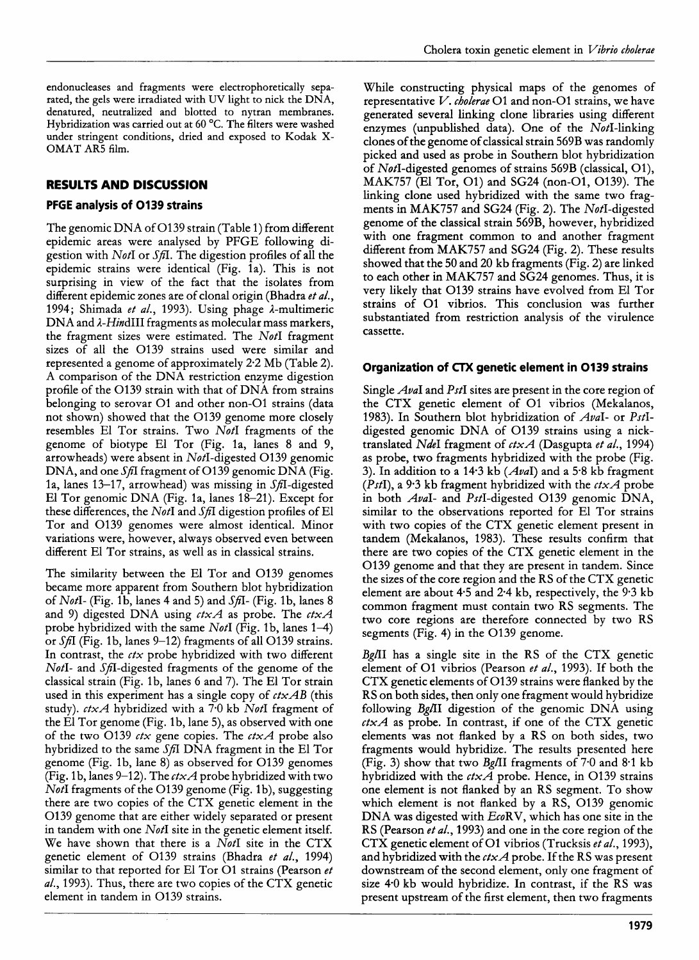endonucleases and fragments were electrophoretically separated, the gels were irradiated with UV light to nick the DNA, denatured, neutralized and blotted to nytran membranes. Hybridization was carried out at 60 *"C.* The filters were washed under stringent conditions, dried and exposed to Kodak **X-**OMAT AR5 film.

# **RESULTS AND DISCUSSION**

# **PFGE analysis of 0139 strains**

The genomic DNA of 0139 strain (Table 1) from different epidemic areas were analysed by PFGE following digestion with NotI or *Sfi.* The digestion profiles of all the epidemic strains were identical (Fig. 1a). This is not surprising in view of the fact that the isolates from different epidemic zones are of clonal origin (Bhadra *et al.,*  1994; Shimada *et al.,* 1993). Using phage A-multimeric  $DNA$  and  $\lambda$ -HindIII fragments as molecular mass markers, the fragment sizes were estimated. The NotI fragment sizes of all the 0139 strains used were similar and represented a genome of approximately 2.2 Mb (Table 2). A comparison of the DNA restriction enzyme digestion profile of the 0139 strain with that of DNA from strains belonging to serovar 01 and other non-01 strains (data not shown) showed that the 0139 genome more closely resembles El Tor strains. Two NotI fragments of the genome of biotype El Tor (Fig. la, lanes 8 and 9, arrowheads) were absent in  $Not$ -digested O139 genomic DNA, and one *Sfi* fragment of 0139 genomic DNA (Fig. 1a, lanes 13–17, arrowhead) was missing in  $SfI$ -digested El Tor genomic DNA (Fig. la, lanes 18-21). Except for these differences, the *NotI* and *SfiI* digestion profiles of El Tor and 0139 genomes were almost identical. Minor variations were, however, always observed even between different El Tor strains, as well as in classical strains.

The similarity between the El Tor and 0139 genomes became more apparent from Southern blot hybridization of NotI- (Fig. 1 b, lanes 4 and *5)* and *Sfi-* (Fig. 1 b, lanes 8 and 9) digested DNA using *ctxA* as probe. The *ctxA*  probe hybridized with the same NotI (Fig. 1b, lanes  $1-4$ ) or *SfiI* (Fig. 1b, lanes 9–12) fragments of all O139 strains. In contrast, the *ctx* probe hybridized with two different NotI- and Sfi-digested fragments of the genome of the classical strain (Fig. lb, lanes 6 and 7). The El Tor strain used in this experiment has a single copy of *ctxAB* (this study). *ctxA* hybridized with a 70 kb NotI fragment of the El Tor genome (Fig. 1b, lane 5), as observed with one of the two 0139 *ctx* gene copies. The *ctxA* probe also hybridized to the same *Sfi* DNA fragment in the El Tor genome (Fig. lb, lane 8) as observed for 0139 genomes (Fig. 1 b, lanes 9-12). The *ctxA* probe hybridized with two NotI fragments of the O139 genome (Fig. 1b), suggesting there are two copies of the CTX genetic element in the 0139 genome that are either widely separated or present in tandem with one  $N$ otI site in the genetic element itself. We have shown that there is a NotI site in the CTX genetic element of 0139 strains (Bhadra *et al.,* 1994) similar to that reported for El Tor 01 strains (Pearson *et al.,* 1993). Thus, there are two copies of the CTX genetic element in tandem in 0139 strains.

While constructing physical maps of the genomes of representative **I/.** *cbolerae* 01 and non-01 strains, we have generated several linking clone libraries using different enzymes (unpublished data). One of the NotI-linking clones of the genome of classical strain 569B was randomly picked and used as probe in Southern blot hybridization of NotI-digested genomes of strains 569B (classical, Ol), MAK757 (El Tor, 01) and SG24 (non-01, 0139). The linking clone used hybridized with the same two fragments in MAK757 and SG24 (Fig. **2).** The NotI-digested genome of the classical strain 569B, however, hybridized with one fragment common to and another fragment different from MAK757 and SG24 (Fig. 2). These results showed that the 50 and 20 kb fragments (Fig. 2) are linked to each other in MAK757 and **SG24** genomes. Thus, it is very likely that 0139 strains have evolved from El Tor strains of 01 vibrios. This conclusion was further substantiated from restriction analysis of the virulence cassette.

# **Organization of CTX genetic element in 0139 strains**

Single *AvaI* and *PstI* sites are present in the core region of the CTX genetic element of 01 vibrios (Mekalanos, 1983). In Southern blot hybridization of *Ava*I- or PstIdigested genomic DNA of 0139 strains using a nicktranslated NdeI fragment of *ctxA* (Dasgupta *et al.,* 1994) as probe, two fragments hybridized with the probe (Fig. 3). In addition to a 14.3 kb  $(Aval)$  and a 5.8 kb fragment (PstI), a 9.3 kb fragment hybridized with the *ctxA* probe in both  $Au$ I- and PstI-digested O139 genomic DNA, similar to the observations reported for El Tor strains with two copies of the CTX genetic element present in tandem (Mekalanos, 1983). These results confirm that there are two copies of the CTX genetic element in the 0139 genome and that they are present in tandem. Since the sizes of the core region and the RS of the CTX genetic element are about 4-5 and 2.4 kb, respectively, the 9.3 kb common fragment must contain two RS segments. The two core regions are therefore connected by two RS segments (Fig. 4) in the 0139 genome.

Bg/II has a single site in the RS of the CTX genetic element of 01 vibrios (Pearson *et al.,* 1993). If both the CTX genetic elements of 0139 strains were flanked by the RS on both sides, then only one fragment would hybridize following BgAI digestion of the genomic DNA using *ctxA* as probe. In contrast, if one of the CTX genetic elements was not flanked by a RS on both sides, two fragments would hybridize. The results presented here (Fig. 3) show that two Bg/II fragments of  $7.0$  and  $8.1$  kb hybridized with the *ctxA* probe. Hence, in 0139 strains one element is not flanked by an RS segment. To show which element is not flanked by a RS, O139 genomic DNA was digested with EcoRV, which has one site in the RS (Pearson *et al.,* 1993) and one in the core region of the CTX genetic element of 01 vibrios (Trucksis *etal.,* 1993), and hybridized with the *ctxA* probe. If the RS was present downstream of the second element, only one fragment of size 40 kb would hybridize. In contrast, if the RS was present upstream of the first element, then two fragments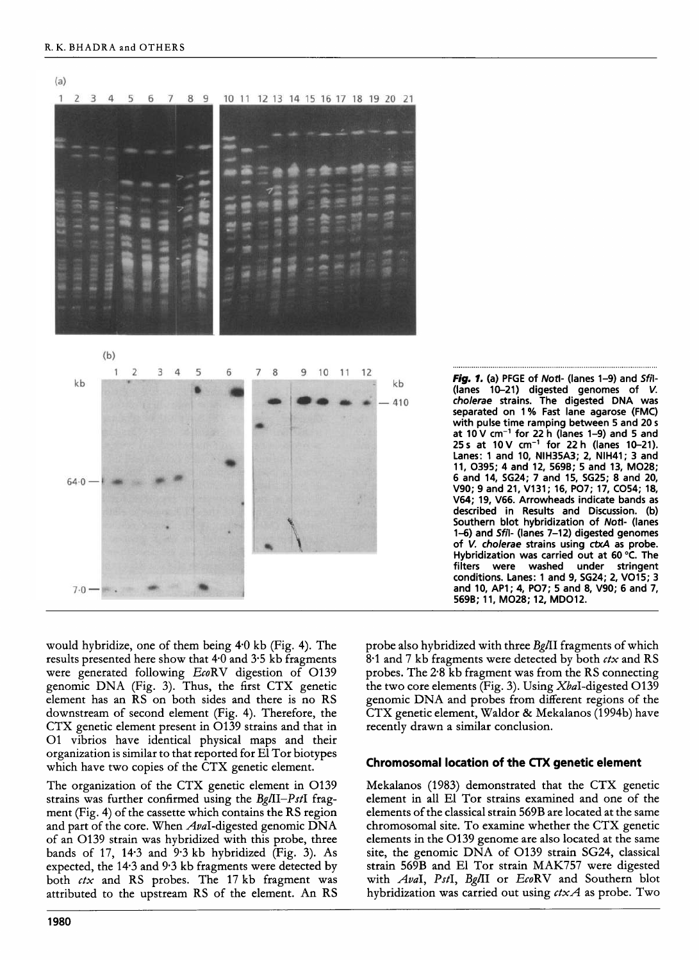

Fig. *1.* (a) PFGE of *Noti-* (lanes 1-9) and *Sfil-*  (lanes 10-21) digested genomes of V. *cholerae* strains. The digested DNA was separated on 1 % Fast lane agarose (FMC) with pulse time ramping between 5 and 20 **<sup>s</sup>** at  $10$  V cm<sup>-1</sup> for 22 h (lanes 1-9) and 5 and 25 **s** at 1OV cm-' for 22 h (lanes 10-21). Lanes: 1 and 10, NIH35A3; 2, NIH41; 3 and 11, 0395; 4 and 12, 569B; 5 and 13, M028; 6 and 14, SG24; 7 and 15, SG25; 8 and 20, V90; 9 and 21, V131; 16, P07; 17, C054; 18, V64; 19, V66. Arrowheads indicate bands as described in Results and Discussion. (b) Southern blot hybridization of *Noti-* (lanes 1-6) and *Sfil-* (lanes 7-12) digested genomes of V. cholerae strains using **ctxA** as probe. Hybridization was carried out at 60°C. The filters were washed under stringent conditions. Lanes: 1 and 9, SG24; 2, V015; 3 and 10, AP1; 4, P07; 5 and 8, V90; 6 and 7, 569B; 11, M028; 12, MD012.

would hybridize, one of them being 40 kb (Fig. 4). The results presented here show that  $4.0$  and  $3.5$  kb fragments were generated following EcoRV digestion of O139 genomic DNA (Fig. 3). Thus, the first CTX genetic element has an RS on both sides and there is no RS downstream of second element (Fig. 4). Therefore, the CTX genetic element present in 0139 strains and that in 01 vibrios have identical physical maps and their organization is similar to that reported for El Tor biotypes which have two copies of the CTX genetic element.

The organization of the CTX genetic element in 0139 strains was further confirmed using the  $Bg/II-PstI$  fragment (Fig. 4) of the cassette which contains the RS region and part of the core. When  $Au$ d-digested genomic DNA of an 0139 strain was hybridized with this probe, three bands of 17, 14.3 and 9.3 kb hybridized (Fig. 3). As expected, the 143 and 9.3 kb fragments were detected by both *ctx* and RS probes. The 17 kb fragment was attributed to the upstream RS of the element. An RS probe also hybridized with three  $Bg/\Pi$  fragments of which 8.1 and *7* kb fragments were detected by both *ctx* and RS probes. The 2.8 kb fragment was from the RS connecting the two core elements (Fig. **3).** Using XbaI-digested 0139 genomic DNA and probes from different regions of the CTX genetic element, Waldor & Mekalanos (1994b) have recently drawn a similar conclusion.

# **Chromosomal location of the CTX genetic element**

Mekalanos (1983) demonstrated that the CTX genetic element in all El Tor strains examined and one of the elements of the classical strain 569B are located at the same chromosomal site. To examine whether the CTX genetic elements in the 0139 genome are also located at the same site, the genomic DNA of 0139 strain SG24, classical strain 569B and El Tor strain MAK757 were digested with AvaI, PstI, Bg/II or EcoRV and Southern blot hybridization was carried out using *ctxA* as probe. Two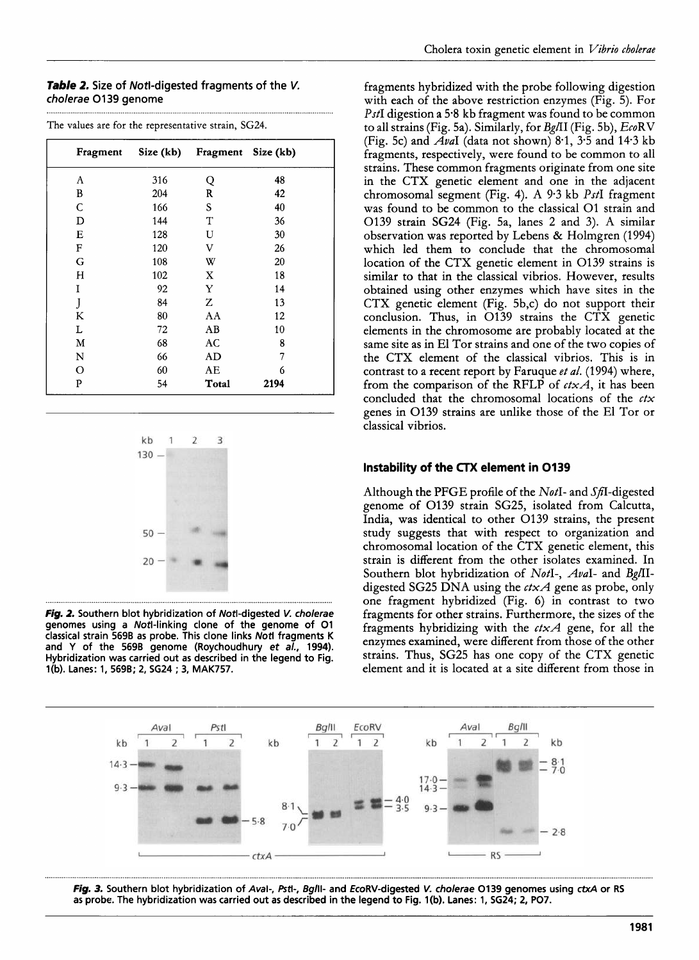#### *Table* 2. Size of Notl-digested fragments of the *V.*  cholerae 01 **39** genome

| Fragment | Size (kb) | Fragment Size (kb) |      |
|----------|-----------|--------------------|------|
| A        | 316       | Q                  | 48   |
| B        | 204       | R                  | 42   |
| C        | 166       | S                  | 40   |
| D        | 144       | T                  | 36   |
| Е        | 128       | U                  | 30   |
| F        | 120       | V                  | 26   |
| G        | 108       | W                  | 20   |
| H        | 102       | X                  | 18   |
| I        | 92        | Y                  | 14   |
| J        | 84        | Z                  | 13   |
| K        | 80        | AA                 | 12   |
| L        | 72        | AB                 | 10   |
| м        | 68        | AC                 | 8    |
| N        | 66        | AD                 | 7    |
| O        | 60        | AE                 | 6    |
| P        | 54        | Total              | 2194 |

The values are for the representative strain, SG24.



*Fig. 2.* Southern blot hybridization of Notl-digested *V.* cholerae genomes using a Notl-linking clone of the genome of 01 classical strain 569B as probe. This clone links Nofl fragments K and Y of the 5698 genome (Roychoudhury et *a/.,* 1994). Hybridization was carried out as described in the legend to Fig. l(b). Lanes: 1, 569B; 2, SG24 ; **3,** MAK757.

fragments hybridized with the probe following digestion with each of the above restriction enzymes (Fig. 5). For PstI digestion a 5.8 kb fragment was found to be common to all strains (Fig. 5a). Similarly, for Bg/II (Fig. 5b), EcoRV (Fig. 5c) and *AvaI* (data not shown) 8.1, 3.5 and 14.3 kb fragments, respectively, were found to be common to all strains. These common fragments originate from one site in the CTX genetic element and one in the adjacent chromosomal segment (Fig. 4). **A** 9.3 kb *PstI* fragment was found to be common to the classical 01 strain and 0139 strain SG24 (Fig. 5a, lanes 2 and 3). **A** similar observation was reported by Lebens & Holmgren (1994) which led them to conclude that the chromosomal location of the CTX genetic element in 0139 strains is similar to that in the classical vibrios. However, results obtained using other enzymes which have sites in the CTX genetic element (Fig. 5b,c) do not support their conclusion. Thus, in 0139 strains the CTX genetic elements in the chromosome are probably located at the same site as in El Tor strains and one of the two copies of the CTX element of the classical vibrios. This is in contrast to a recent report by Faruque *et al.* (1994) where, from the comparison of the RFLP of *ctxA,* it has been concluded that the chromosomal locations of the *ctx*  genes in 0139 strains are unlike those of the El Tor or classical vibrios.

#### **Instability of the CTX element in 0139**

Although the PFGE profile of the NotI- and  $S_f$ I-digested genome of 0139 strain SG25, isolated from Calcutta, India, was identical to other 0139 strains, the present study suggests that with respect to organization and chromosomal location of the CTX genetic element, this strain is different from the other isolates examined. In Southern blot hybridization of NotI-, AvaI- and Bg/IIdigested SG25 **DNA** using the *ctxA* gene as probe, only one fragment hybridized (Fig. 6) in contrast to two fragments for other strains. Furthermore, the sizes of the fragments hybridizing with the *ctxA* gene, for all the enzymes examined, were different from those of the other strains. Thus, SG25 has one copy of the CTX genetic element and it is located at a site different from those in



*Fig. 3.* Southern blot hybridization of *Aval-,* **&ti-,** *Bglll-* and EcoRV-digested V. cholerae 0139 genomes using *ctxA* or RS as probe. The hybridization was carried out as described in the legend to Fig. l(b). Lanes: 1, SG24; 2, P07.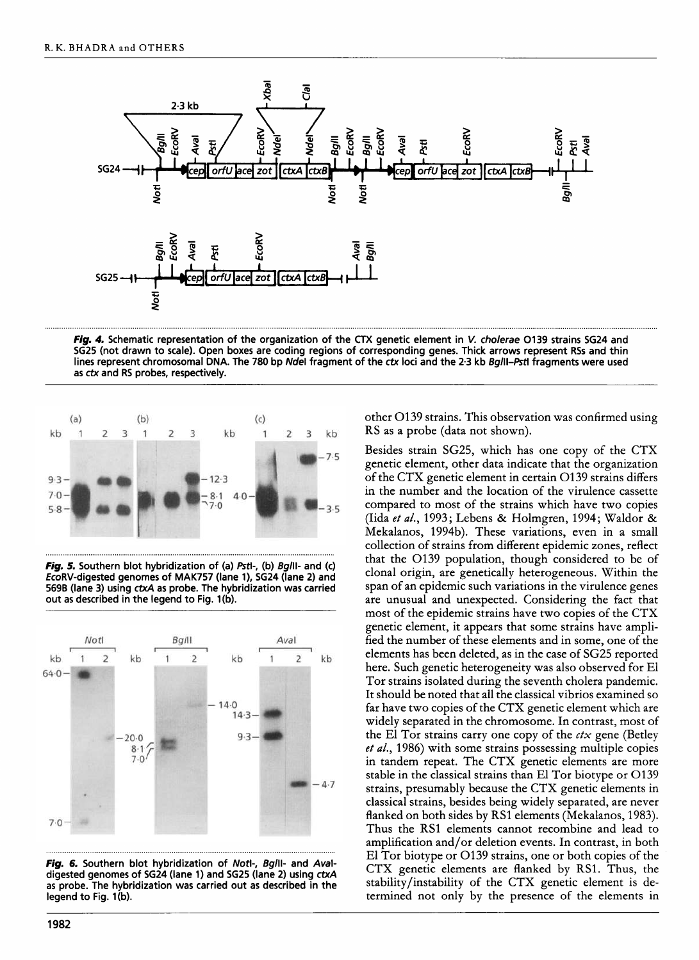

*Fig. 4.* **Schematic representation of the organization of the** CTX **genetic element in** *V. cholerae* **0139 strains SG24 and SG25 (not drawn to scale). Open boxes are coding regions of corresponding genes. Thick arrows represent RSs and thin lines represent chromosomal DNA. The 780 bp** *Ndel* **fragment of the** *ctx* **loci and the 2.3 kb** *Bglll-Pstl* **fragments were used as ctx and RS probes, respectively.** 



*Fig. 5.* **Southern blot hybridization of (a)** *Pstl-,* **(b) Bglll- and (c) EcoRV-digested genomes of MAK757 (lane l), SG24 (lane 2) and 569B (lane 3) using** *ctxA* **as probe. The hybridization was carried**  out as described in the legend to Fig. 1(b).



*Fig. 6.* **Southern blot hybridization of Notl-, Bglll- and** *Aval***digested genomes of SG24 (lane 1) and SG25 (lane 2) using** *ctxA*  **as probe. The hybridization was carried out as described in the**  legend to Fig. 1(b).

other 0139 strains. This observation was confirmed using RS as a probe (data not shown).

Besides strain SG25, which has one copy of the CTX genetic element, other data indicate that the organization of the CTX genetic element in certain 0139 strains differs in the number and the location of the virulence cassette compared to most of the strains which have two copies (Iida *et al.,* 1993; Lebens & Holmgren, 1994; Waldor & Mekalanos, 1994b). These variations, even in a small collection of strains from different epidemic zones, reflect that the 0139 population, though considered to be of clonal origin, are genetically heterogeneous. Within the span of an epidemic such variations in the virulence genes are unusual and unexpected. Considering the fact that most of the epidemic strains have two copies of the CTX genetic element, it appears that some strains have amplified the number of these elements and in some, one of the elements has been deleted, as in the case of SG25 reported here. Such genetic heterogeneity was also observed for El Tor strains isolated during the seventh cholera pandemic. It should be noted that all the classical vibrios examined so far have two copies of the CTX genetic element which are widely separated in the chromosome. In contrast, most of the El Tor strains carry one copy of the *ctx* gene (Betley *et al.,* 1986) with some strains possessing multiple copies in tandem repeat. The CTX genetic elements are more stable in the classical strains than El Tor biotype or 0139 strains, presumably because the CTX genetic elements in classical strains, besides being widely separated, are never flanked on both sides by RS1 elements (Mekalanos, 1983). Thus the RS1 elements cannot recombine and lead to amplification and/or deletion events. In contrast, in both El Tor biotype or 0139 strains, one or both copies of the CTX genetic elements are flanked by RS1. Thus, the stability/instability of the CTX genetic element is determined not only by the presence of the elements in